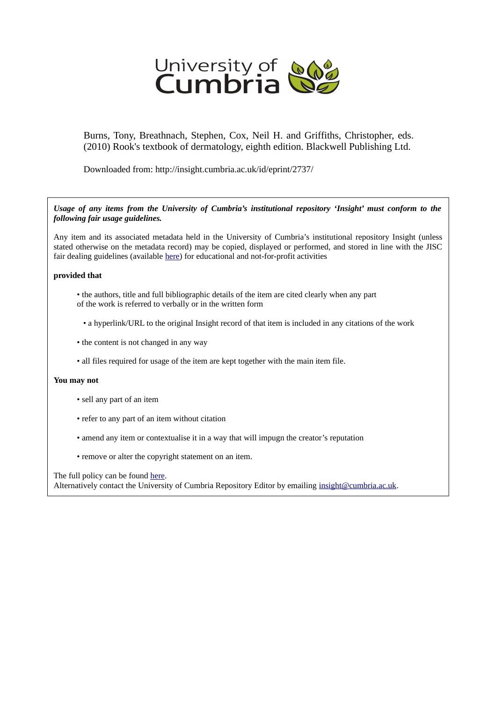

Burns, Tony, Breathnach, Stephen, Cox, Neil H. and Griffiths, Christopher, eds. (2010) Rook's textbook of dermatology, eighth edition. Blackwell Publishing Ltd.

Downloaded from: http://insight.cumbria.ac.uk/id/eprint/2737/

*Usage of any items from the University of Cumbria's institutional repository 'Insight' must conform to the following fair usage guidelines.*

Any item and its associated metadata held in the University of Cumbria's institutional repository Insight (unless stated otherwise on the metadata record) may be copied, displayed or performed, and stored in line with the JISC fair dealing guidelines (available [here\)](http://www.ukoln.ac.uk/services/elib/papers/pa/fair/) for educational and not-for-profit activities

# **provided that**

- the authors, title and full bibliographic details of the item are cited clearly when any part of the work is referred to verbally or in the written form
	- a hyperlink/URL to the original Insight record of that item is included in any citations of the work
- the content is not changed in any way
- all files required for usage of the item are kept together with the main item file.

# **You may not**

- sell any part of an item
- refer to any part of an item without citation
- amend any item or contextualise it in a way that will impugn the creator's reputation
- remove or alter the copyright statement on an item.

The full policy can be found [here.](http://insight.cumbria.ac.uk/legal.html#section5)

Alternatively contact the University of Cumbria Repository Editor by emailing [insight@cumbria.ac.uk.](mailto:insight@cumbria.ac.uk)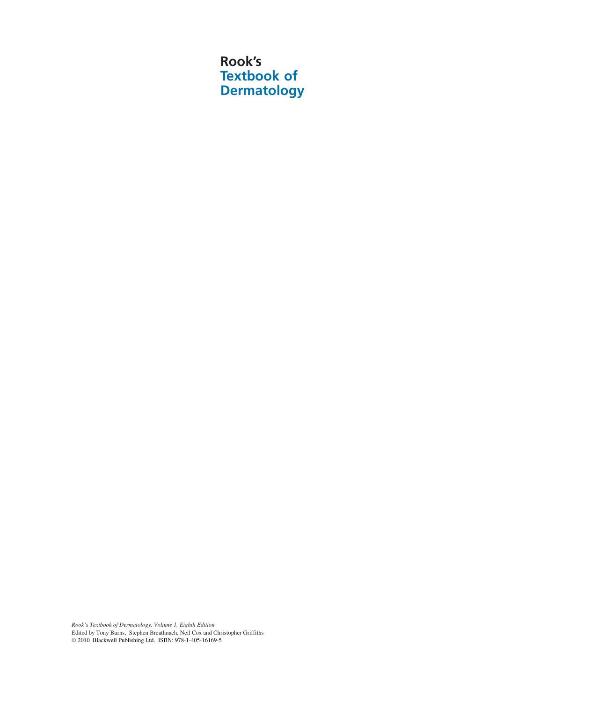**Rook's Textbook of Dermatology**

*Rook's Textbook of Dermatology, Volume 1, Eighth Edition*  Edited by Tony Burns, Stephen Breathnach, Neil Cox and Christopher Griffiths © 2010 Blackwell Publishing Ltd. ISBN: 978-1-405-16169-5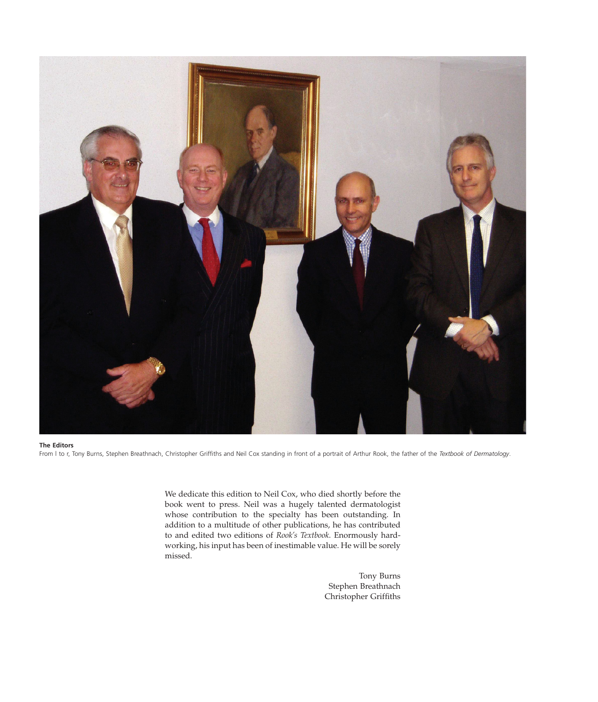

**The Editors**

From I to r, Tony Burns, Stephen Breathnach, Christopher Griffiths and Neil Cox standing in front of a portrait of Arthur Rook, the father of the *Textbook of Dermatology*.

We dedicate this edition to Neil Cox, who died shortly before the book went to press. Neil was a hugely talented dermatologist whose contribution to the specialty has been outstanding. In addition to a multitude of other publications, he has contributed to and edited two editions of *Rook's Textbook*. Enormously hardworking, his input has been of inestimable value. He will be sorely missed.

> Tony Burns Stephen Breathnach Christopher Griffiths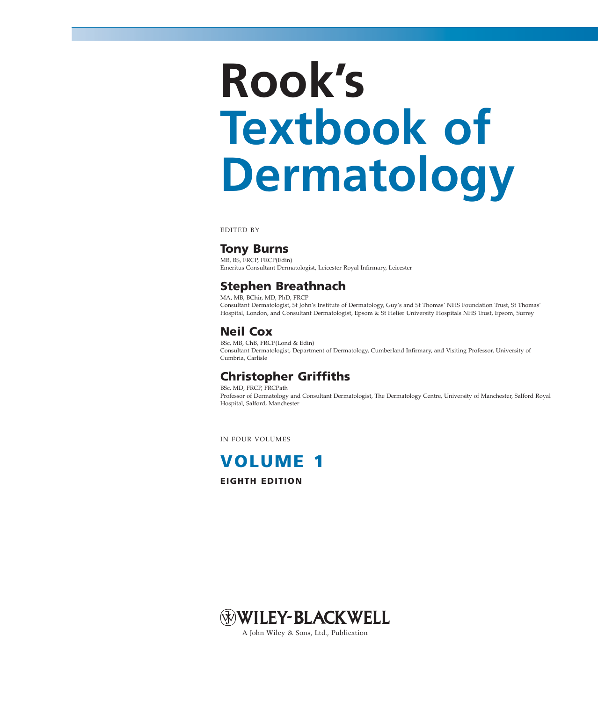# **Rook's Textbook of Dermatology**

EDITED BY

# **Tony Burns**

MB, BS, FRCP, FRCP(Edin) Emeritus Consultant Dermatologist, Leicester Royal Infirmary, Leicester

# **Stephen Breathnach**

MA, MB, BChir, MD, PhD, FRCP Consultant Dermatologist, St John's Institute of Dermatology, Guy's and St Thomas' NHS Foundation Trust, St Thomas' Hospital, London, and Consultant Dermatologist, Epsom & St Helier University Hospitals NHS Trust, Epsom, Surrey

# **Neil Cox**

BSc, MB, ChB, FRCP(Lond & Edin) Consultant Dermatologist, Department of Dermatology, Cumberland Infirmary, and Visiting Professor, University of Cumbria, Carlisle

# **Christopher Griffiths**

BSc, MD, FRCP, FRCPath Professor of Dermatology and Consultant Dermatologist, The Dermatology Centre, University of Manchester, Salford Royal Hospital, Salford, Manchester

IN FOUR VOLUMES





A John Wiley & Sons, Ltd., Publication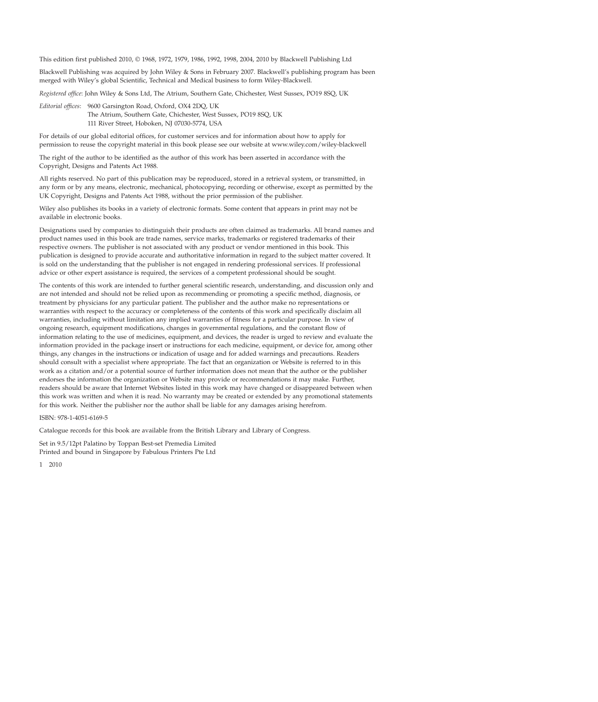This edition first published 2010, © 1968, 1972, 1979, 1986, 1992, 1998, 2004, 2010 by Blackwell Publishing Ltd

Blackwell Publishing was acquired by John Wiley & Sons in February 2007. Blackwell's publishing program has been merged with Wiley's global Scientific, Technical and Medical business to form Wiley-Blackwell.

*Registered offi ce*: John Wiley & Sons Ltd, The Atrium, Southern Gate, Chichester, West Sussex, PO19 8SQ, UK

*Editorial offi ces*: 9600 Garsington Road, Oxford, OX4 2DQ, UK

 The Atrium, Southern Gate, Chichester, West Sussex, PO19 8SQ, UK 111 River Street, Hoboken, NJ 07030-5774, USA

For details of our global editorial offices, for customer services and for information about how to apply for permission to reuse the copyright material in this book please see our website at <www.wiley.com/wiley-blackwell>

The right of the author to be identified as the author of this work has been asserted in accordance with the Copyright, Designs and Patents Act 1988.

All rights reserved. No part of this publication may be reproduced, stored in a retrieval system, or transmitted, in any form or by any means, electronic, mechanical, photocopying, recording or otherwise, except as permitted by the UK Copyright, Designs and Patents Act 1988, without the prior permission of the publisher.

Wiley also publishes its books in a variety of electronic formats. Some content that appears in print may not be available in electronic books.

Designations used by companies to distinguish their products are often claimed as trademarks. All brand names and product names used in this book are trade names, service marks, trademarks or registered trademarks of their respective owners. The publisher is not associated with any product or vendor mentioned in this book. This publication is designed to provide accurate and authoritative information in regard to the subject matter covered. It is sold on the understanding that the publisher is not engaged in rendering professional services. If professional advice or other expert assistance is required, the services of a competent professional should be sought.

The contents of this work are intended to further general scientific research, understanding, and discussion only and are not intended and should not be relied upon as recommending or promoting a specific method, diagnosis, or treatment by physicians for any particular patient. The publisher and the author make no representations or warranties with respect to the accuracy or completeness of the contents of this work and specifically disclaim all warranties, including without limitation any implied warranties of fitness for a particular purpose. In view of ongoing research, equipment modifications, changes in governmental regulations, and the constant flow of information relating to the use of medicines, equipment, and devices, the reader is urged to review and evaluate the information provided in the package insert or instructions for each medicine, equipment, or device for, among other things, any changes in the instructions or indication of usage and for added warnings and precautions. Readers should consult with a specialist where appropriate. The fact that an organization or Website is referred to in this work as a citation and/or a potential source of further information does not mean that the author or the publisher endorses the information the organization or Website may provide or recommendations it may make. Further, readers should be aware that Internet Websites listed in this work may have changed or disappeared between when this work was written and when it is read. No warranty may be created or extended by any promotional statements for this work. Neither the publisher nor the author shall be liable for any damages arising herefrom.

ISBN: 978-1-4051-6169-5

Catalogue records for this book are available from the British Library and Library of Congress.

Set in 9.5/12pt Palatino by Toppan Best-set Premedia Limited Printed and bound in Singapore by Fabulous Printers Pte Ltd

1 2010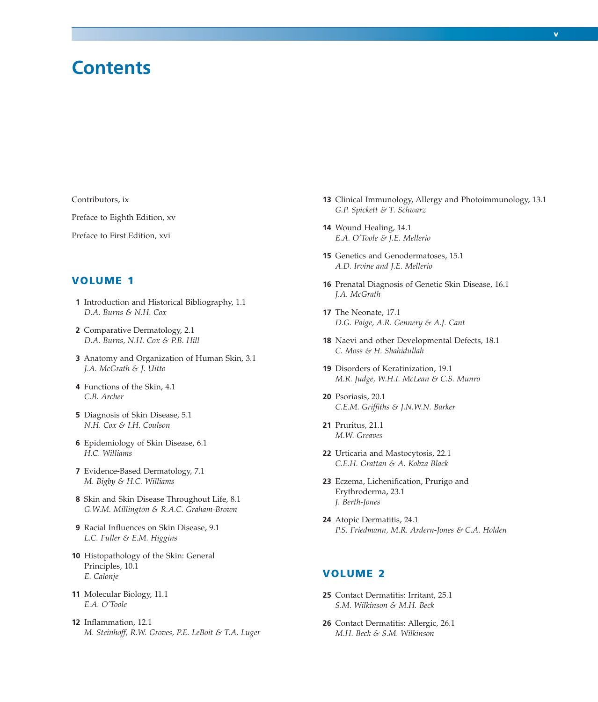# **Contents**

Contributors, ix

Preface to Eighth Edition, xv

Preface to First Edition, xvi

# **VOLUME 1**

- **1** Introduction and Historical Bibliography, 1.1 *D.A. Burns & N.H. Cox*
- **2** Comparative Dermatology, 2.1 *D.A. Burns, N.H. Cox & P.B. Hill*
- **3** Anatomy and Organization of Human Skin, 3.1 *J.A. McGrath & J. Uitto*
- **4** Functions of the Skin, 4.1 *C.B. Archer*
- **5** Diagnosis of Skin Disease, 5.1 *N.H. Cox & I.H. Coulson*
- **6** Epidemiology of Skin Disease, 6.1 *H.C. Williams*
- **7** Evidence-Based Dermatology, 7.1 *M. Bigby & H.C. Williams*
- **8** Skin and Skin Disease Throughout Life, 8.1 *G.W.M. Millington & R.A.C. Graham-Brown*
- **9** Racial Influences on Skin Disease, 9.1 *L.C. Fuller & E.M. Higgins*
- **10** Histopathology of the Skin: General Principles, 10.1 *E. Calonje*
- **11** Molecular Biology, 11.1 *E.A. O'Toole*
- **12** Inflammation, 12.1 *M. Steinhoff, R.W. Groves, P.E. LeBoit & T.A. Luger*
- **13** Clinical Immunology, Allergy and Photoimmunology, 13.1 *G.P. Spickett & T. Schwarz*
- **14** Wound Healing, 14.1 *E.A. O'Toole & J.E. Mellerio*
- 15 Genetics and Genodermatoses, 15.1 *A.D. Irvine and J.E. Mellerio*
- **16** Prenatal Diagnosis of Genetic Skin Disease, 16.1 *J.A. McGrath*
- **17** The Neonate, 17.1 *D.G. Paige, A.R. Gennery & A.J. Cant*
- **18** Naevi and other Developmental Defects, 18.1 *C. Moss & H. Shahidullah*
- **19** Disorders of Keratinization, 19.1 *M.R. Judge, W.H.I. McLean & C.S. Munro*
- **20** Psoriasis, 20.1 *C.E.M. Griffi ths & J.N.W.N. Barker*
- **21** Pruritus, 21.1 *M.W. Greaves*
- **22** Urticaria and Mastocytosis, 22.1 *C.E.H. Grattan & A. Kobza Black*
- 23 Eczema, Lichenification, Prurigo and Erythroderma, 23.1 *J. Berth-Jones*
- **24** Atopic Dermatitis, 24.1 *P.S. Friedmann, M.R. Ardern-Jones & C.A. Holden*

# **VOLUME 2**

- **25** Contact Dermatitis: Irritant, 25.1 *S.M. Wilkinson & M.H. Beck*
- **26** Contact Dermatitis: Allergic, 26.1 *M.H. Beck & S.M. Wilkinson*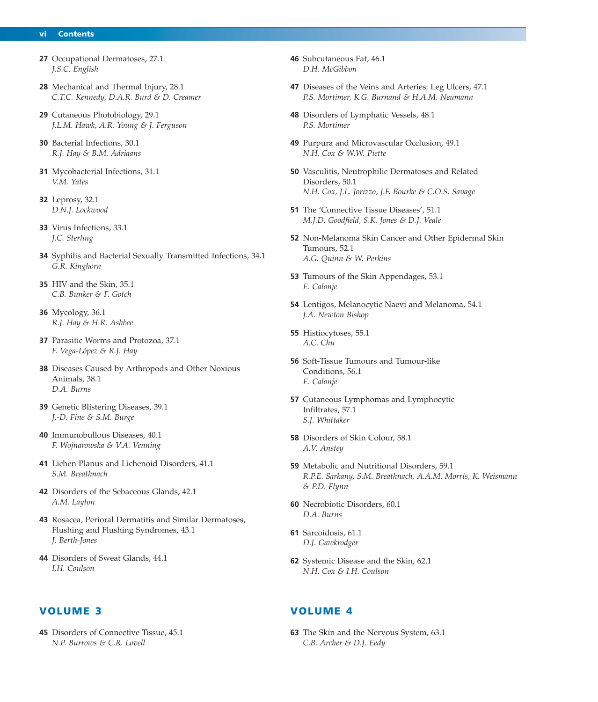#### **vi Contents**

- **27** Occupational Dermatoses, 27.1 *J.S.C. English*
- **28** Mechanical and Thermal Injury, 28.1 *C.T.C. Kennedy, D.A.R. Burd & D. Creamer*
- **29** Cutaneous Photobiology, 29.1 *J.L.M. Hawk, A.R. Young & J. Ferguson*
- **30** Bacterial Infections, 30.1 *R.J. Hay & B.M. Adriaans*
- **31** Mycobacterial Infections, 31.1 *V.M. Yates*
- **32** Leprosy, 32.1 *D.N.J. Lockwood*
- **33** Virus Infections, 33.1 *J.C. Sterling*
- **34** Syphilis and Bacterial Sexually Transmitted Infections, 34.1 *G.R. Kinghorn*
- **35** HIV and the Skin, 35.1 *C.B. Bunker & F. Gotch*
- **36** Mycology, 36.1 *R.J. Hay & H.R. Ashbee*
- **37** Parasitic Worms and Protozoa, 37.1 *F. Vega-López & R.J. Hay*
- **38** Diseases Caused by Arthropods and Other Noxious Animals, 38.1 *D.A. Burns*
- **39** Genetic Blistering Diseases, 39.1 *J.-D. Fine & S.M. Burge*
- **40** Immunobullous Diseases, 40.1 *F. Wojnarowska & V.A. Venning*
- **41** Lichen Planus and Lichenoid Disorders, 41.1 *S.M. Breathnach*
- **42** Disorders of the Sebaceous Glands, 42.1 *A.M. Layton*
- **43** Rosacea, Perioral Dermatitis and Similar Dermatoses, Flushing and Flushing Syndromes, 43.1 *J. Berth-Jones*
- **44** Disorders of Sweat Glands, 44.1 *I.H. Coulson*

# **VOLUME 3**

**45** Disorders of Connective Tissue, 45.1 *N.P. Burrows & C.R. Lovell*

- **46** Subcutaneous Fat, 46.1 *D.H. McGibbon*
- **47** Diseases of the Veins and Arteries: Leg Ulcers, 47.1 *P.S. Mortimer, K.G. Burnand & H.A.M. Neumann*
- **48** Disorders of Lymphatic Vessels, 48.1 *P.S. Mortimer*
- **49** Purpura and Microvascular Occlusion, 49.1 *N.H. Cox & W.W. Piette*
- **50** Vasculitis, Neutrophilic Dermatoses and Related Disorders, 50.1 *N.H. Cox, J.L. Jorizzo, J.F. Bourke & C.O.S. Savage*
- **51** The 'Connective Tissue Diseases', 51.1 *M.J.D. Goodfield, S.K. Jones & D.J. Veale*
- **52** Non-Melanoma Skin Cancer and Other Epidermal Skin Tumours, 52.1 *A.G. Quinn & W. Perkins*
- **53** Tumours of the Skin Appendages, 53.1 *E. Calonje*
- **54** Lentigos, Melanocytic Naevi and Melanoma, 54.1 *J.A. Newton Bishop*
- **55** Histiocytoses, 55.1 *A.C. Chu*
- **56** Soft-Tissue Tumours and Tumour-like Conditions, 56.1 *E. Calonje*
- **57** Cutaneous Lymphomas and Lymphocytic Infiltrates, 57.1 *S.J. Whittaker*
- **58** Disorders of Skin Colour, 58.1 *A.V. Anstey*
- **59** Metabolic and Nutritional Disorders, 59.1 *R.P.E. Sarkany, S.M. Breathnach, A.A.M. Morris, K. Weismann & P.D. Flynn*
- **60** Necrobiotic Disorders, 60.1 *D.A. Burns*
- **61** Sarcoidosis, 61.1 *D.J. Gawkrodger*
- **62** Systemic Disease and the Skin, 62.1 *N.H. Cox & I.H. Coulson*

# **VOLUME 4**

**63** The Skin and the Nervous System, 63.1 *C.B. Archer & D.J. Eedy*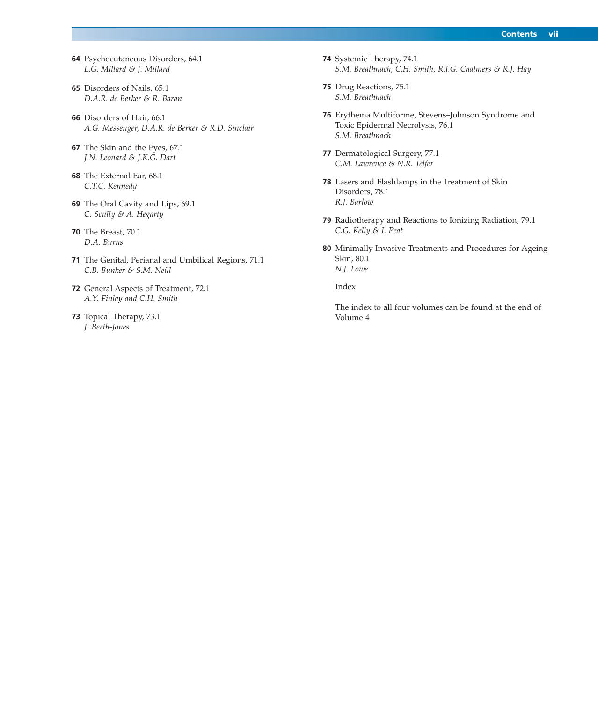- **64** Psychocutaneous Disorders, 64.1 *L.G. Millard & J. Millard*
- **65** Disorders of Nails, 65.1 *D.A.R. de Berker & R. Baran*
- **66** Disorders of Hair, 66.1 *A.G. Messenger, D.A.R. de Berker & R.D. Sinclair*
- **67** The Skin and the Eyes, 67.1 *J.N. Leonard & J.K.G. Dart*
- **68** The External Ear, 68.1 *C.T.C. Kennedy*
- **69** The Oral Cavity and Lips, 69.1 *C. Scully & A. Hegarty*
- **70** The Breast, 70.1 *D.A. Burns*
- **71** The Genital, Perianal and Umbilical Regions, 71.1 *C.B. Bunker & S.M. Neill*
- **72** General Aspects of Treatment, 72.1 *A.Y. Finlay and C.H. Smith*
- **73** Topical Therapy, 73.1 *J. Berth-Jones*
- **74** Systemic Therapy, 74.1 *S.M. Breathnach, C.H. Smith, R.J.G. Chalmers & R.J. Hay*
- **75** Drug Reactions, 75.1 *S.M. Breathnach*
- **76** Erythema Multiforme, Stevens–Johnson Syndrome and Toxic Epidermal Necrolysis, 76.1 *S.M. Breathnach*
- **77** Dermatological Surgery, 77.1 *C.M. Lawrence & N.R. Telfer*
- **78** Lasers and Flashlamps in the Treatment of Skin Disorders, 78.1 *R.J. Barlow*
- **79** Radiotherapy and Reactions to Ionizing Radiation, 79.1 *C.G. Kelly & I. Peat*
- **80** Minimally Invasive Treatments and Procedures for Ageing Skin, 80.1 *N.J. Lowe*

Index

The index to all four volumes can be found at the end of Volume 4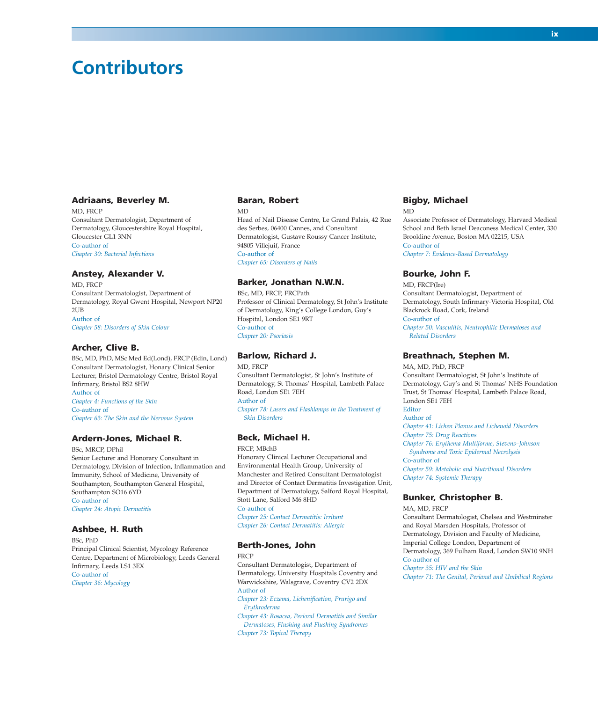# **Contributors**

#### **Adriaans, Beverley M.**

MD, FRCP Consultant Dermatologist, Department of Dermatology, Gloucestershire Royal Hospital, Gloucester GL1 3NN Co-author of *Chapter 30: Bacterial Infections*

#### **Anstey, Alexander V.**

MD, FRCP Consultant Dermatologist, Department of Dermatology, Royal Gwent Hospital, Newport NP20 2UB Author of *Chapter 58: Disorders of Skin Colour*

# **Archer, Clive B.**

BSc, MD, PhD, MSc Med Ed(Lond), FRCP (Edin, Lond) Consultant Dermatologist, Honary Clinical Senior Lecturer, Bristol Dermatology Centre, Bristol Royal Infirmary, Bristol BS2 8HW Author of *Chapter 4: Functions of the Skin* Co-author of *Chapter 63: The Skin and the Nervous System*

#### **Ardern-Jones, Michael R.**

BSc, MRCP, DPhil Senior Lecturer and Honorary Consultant in Dermatology, Division of Infection, Inflammation and Immunity, School of Medicine, University of Southampton, Southampton General Hospital, Southampton SO16 6YD Co-author of *Chapter 24: Atopic Dermatitis*

#### **Ashbee, H. Ruth**

BSc, PhD Principal Clinical Scientist, Mycology Reference Centre, Department of Microbiology, Leeds General Infirmary, Leeds LS1 3EX Co-author of *Chapter 36: Mycology*

# **Baran, Robert**

MD Head of Nail Disease Centre, Le Grand Palais, 42 Rue des Serbes, 06400 Cannes, and Consultant Dermatologist, Gustave Roussy Cancer Institute, 94805 Villejuif, France Co-author of *Chapter 65: Disorders of Nails*

#### **Barker, Jonathan N.W.N.**

BSc, MD, FRCP, FRCPath Professor of Clinical Dermatology, St John's Institute of Dermatology, King's College London, Guy's Hospital, London SE1 9RT Co-author of *Chapter 20: Psoriasis*

#### **Barlow, Richard J.**

MD, FRCP Consultant Dermatologist, St John's Institute of Dermatology, St Thomas' Hospital, Lambeth Palace Road, London SE1 7EH Author of *Chapter 78: Lasers and Flashlamps in the Treatment of Skin Disorders*

# **Beck, Michael H.**

FRCP, MBchB

Honorary Clinical Lecturer Occupational and Environmental Health Group, University of Manchester and Retired Consultant Dermatologist and Director of Contact Dermatitis Investigation Unit, Department of Dermatology, Salford Royal Hospital, Stott Lane, Salford M6 8HD Co-author of

*Chapter 25: Contact Dermatitis: Irritant Chapter 26: Contact Dermatitis: Allergic*

#### **Berth-Jones, John**

**FRCP** Consultant Dermatologist, Department of Dermatology, University Hospitals Coventry and Warwickshire, Walsgrave, Coventry CV2 2DX Author of *Chapter 23: Eczema, Lichenification, Prurigo and Erythroderma Chapter 43: Rosacea, Perioral Dermatitis and Similar Dermatoses, Flushing and Flushing Syndromes*

*Chapter 73: Topical Therapy*

#### **Bigby, Michael**

MD Associate Professor of Dermatology, Harvard Medical School and Beth Israel Deaconess Medical Center, 330 Brookline Avenue, Boston MA 02215, USA Co-author of *Chapter 7: Evidence-Based Dermatology*

#### **Bourke, John F.**

MD, FRCP(Ire) Consultant Dermatologist, Department of Dermatology, South Infirmary-Victoria Hospital, Old Blackrock Road, Cork, Ireland Co-author of *Chapter 50: Vasculitis, Neutrophilic Dermatoses and Related Disorders*

#### **Breathnach, Stephen M.**

MA, MD, PhD, FRCP Consultant Dermatologist, St John's Institute of Dermatology, Guy's and St Thomas' NHS Foundation Trust, St Thomas' Hospital, Lambeth Palace Road, London SE1 7EH Editor Author of *Chapter 41: Lichen Planus and Lichenoid Disorders*

*Chapter 75: Drug Reactions Chapter 76: Erythema Multiforme, Stevens–Johnson Syndrome and Toxic Epidermal Necrolysis* Co-author of *Chapter 59: Metabolic and Nutritional Disorders Chapter 74: Systemic Therapy*

#### **Bunker, Christopher B.**

MA, MD, FRCP Consultant Dermatologist, Chelsea and Westminster and Royal Marsden Hospitals, Professor of Dermatology, Division and Faculty of Medicine, Imperial College London, Department of Dermatology, 369 Fulham Road, London SW10 9NH Co-author of *Chapter 35: HIV and the Skin Chapter 71: The Genital, Perianal and Umbilical Regions*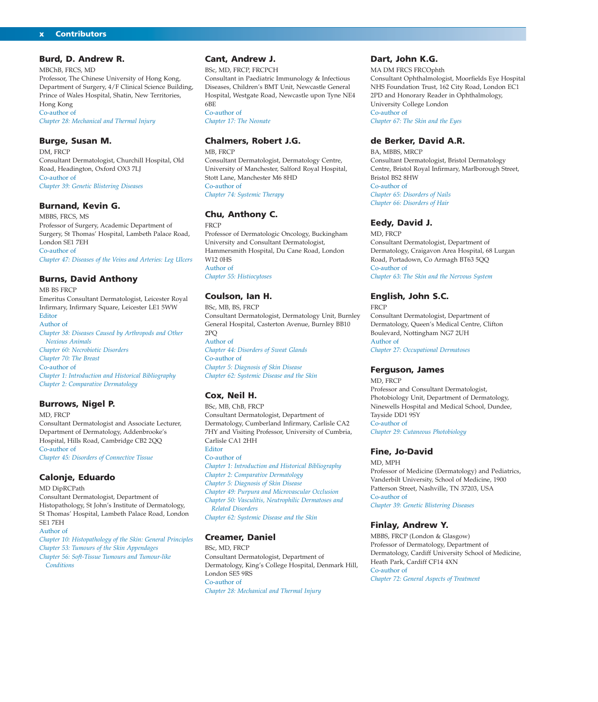## **Burd, D. Andrew R.**

MBChB, FRCS, MD Professor, The Chinese University of Hong Kong, Department of Surgery, 4/F Clinical Science Building, Prince of Wales Hospital, Shatin, New Territories, Hong Kong Co-author of *Chapter 28: Mechanical and Thermal Injury*

#### **Burge, Susan M.**

DM, FRCP Consultant Dermatologist, Churchill Hospital, Old Road, Headington, Oxford OX3 7LJ Co-author of *Chapter 39: Genetic Blistering Diseases*

# **Burnand, Kevin G.**

MBBS, FRCS, MS Professor of Surgery, Academic Department of Surgery, St Thomas' Hospital, Lambeth Palace Road, London SE1 7EH Co-author of *Chapter 47: Diseases of the Veins and Arteries: Leg Ulcers*

# **Burns, David Anthony**

MB BS FRCP Emeritus Consultant Dermatologist, Leicester Royal Infirmary, Infirmary Square, Leicester LE1 5WW Editor Author of *Chapter 38: Diseases Caused by Arthropods and Other Noxious Animals Chapter 60: Necrobiotic Disorders Chapter 70: The Breast* Co-author of *Chapter 1: Introduction and Historical Bibliography Chapter 2: Comparative Dermatology*

#### **Burrows, Nigel P.**

MD, FRCP Consultant Dermatologist and Associate Lecturer, Department of Dermatology, Addenbrooke's Hospital, Hills Road, Cambridge CB2 2QQ Co-author of *Chapter 45: Disorders of Connective Tissue*

#### **Calonje, Eduardo**

MD DipRCPath Consultant Dermatologist, Department of Histopathology, St John's Institute of Dermatology, St Thomas' Hospital, Lambeth Palace Road, London SE1 7EH Author of *Chapter 10: Histopathology of the Skin: General Principles Chapter 53: Tumours of the Skin Appendages Chapter 56: Soft-Tissue Tumours and Tumour-like Conditions*

# **Cant, Andrew J.**

BSc, MD, FRCP, FRCPCH Consultant in Paediatric Immunology & Infectious Diseases, Children's BMT Unit, Newcastle General Hospital, Westgate Road, Newcastle upon Tyne NE4 6BE

Co-author of *Chapter 17: The Neonate*

# **Chalmers, Robert J.G.**

MB, FRCP Consultant Dermatologist, Dermatology Centre, University of Manchester, Salford Royal Hospital, Stott Lane, Manchester M6 8HD Co-author of *Chapter 74: Systemic Therapy*

# **Chu, Anthony C.**

**FRCP** Professor of Dermatologic Oncology, Buckingham University and Consultant Dermatologist, Hammersmith Hospital, Du Cane Road, London W12 0HS Author of *Chapter 55: Histiocytoses*

#### **Coulson, Ian H.**

BSc, MB, BS, FRCP Consultant Dermatologist, Dermatology Unit, Burnley General Hospital, Casterton Avenue, Burnley BB10 2PQ Author of *Chapter 44: Disorders of Sweat Glands* Co-author of *Chapter 5: Diagnosis of Skin Disease Chapter 62: Systemic Disease and the Skin*

# **Cox, Neil H.**

BSc, MB, ChB, FRCP Consultant Dermatologist, Department of Dermatology, Cumberland Infirmary, Carlisle CA2 7HY and Visiting Professor, University of Cumbria, Carlisle CA1 2HH Editor Co-author of *Chapter 1: Introduction and Historical Bibliography Chapter 2: Comparative Dermatology Chapter 5: Diagnosis of Skin Disease*

*Chapter 49: Purpura and Microvascular Occlusion Chapter 50: Vasculitis, Neutrophilic Dermatoses and Related Disorders Chapter 62: Systemic Disease and the Skin*

#### **Creamer, Daniel**

BSc, MD, FRCP Consultant Dermatologist, Department of Dermatology, King's College Hospital, Denmark Hill, London SE5 9RS Co-author of *Chapter 28: Mechanical and Thermal Injury*

#### **Dart, John K.G.**

MA DM FRCS FRCOphth Consultant Ophthalmologist, Moorfields Eye Hospital NHS Foundation Trust, 162 City Road, London EC1 2PD and Honorary Reader in Ophthalmology, University College London Co-author of *Chapter 67: The Skin and the Eyes*

#### **de Berker, David A.R.**

BA, MBBS, MRCP Consultant Dermatologist, Bristol Dermatology Centre, Bristol Royal Infirmary, Marlborough Street, Bristol BS2 8HW Co-author of *Chapter 65: Disorders of Nails Chapter 66: Disorders of Hair*

#### **Eedy, David J.**

MD, FRCP Consultant Dermatologist, Department of Dermatology, Craigavon Area Hospital, 68 Lurgan Road, Portadown, Co Armagh BT63 5QQ Co-author of *Chapter 63: The Skin and the Nervous System*

#### **English, John S.C.**

**FRCP** 

Consultant Dermatologist, Department of Dermatology, Queen's Medical Centre, Clifton Boulevard, Nottingham NG7 2UH Author of *Chapter 27: Occupational Dermatoses*

#### **Ferguson, James**

MD, FRCP Professor and Consultant Dermatologist, Photobiology Unit, Department of Dermatology, Ninewells Hospital and Medical School, Dundee, Tayside DD1 9SY Co-author of *Chapter 29: Cutaneous Photobiology*

#### **Fine, Jo-David**

MD, MPH Professor of Medicine (Dermatology) and Pediatrics, Vanderbilt University, School of Medicine, 1900 Patterson Street, Nashville, TN 37203, USA Co-author of *Chapter 39: Genetic Blistering Diseases*

#### **Finlay, Andrew Y.**

MBBS, FRCP (London & Glasgow) Professor of Dermatology, Department of Dermatology, Cardiff University School of Medicine, Heath Park, Cardiff CF14 4XN Co-author of *Chapter 72: General Aspects of Treatment*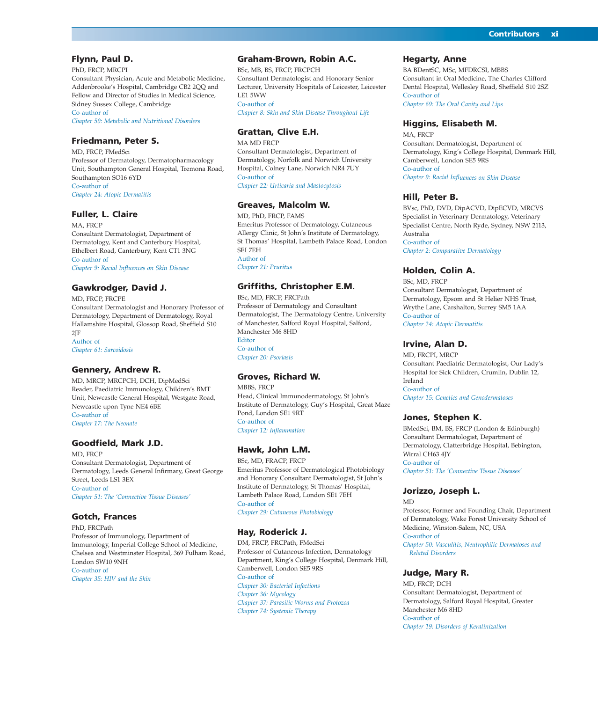#### **Contributors xi**

#### **Flynn, Paul D.**

PhD, FRCP, MRCPI Consultant Physician, Acute and Metabolic Medicine, Addenbrooke's Hospital, Cambridge CB2 2QQ and Fellow and Director of Studies in Medical Science, Sidney Sussex College, Cambridge Co-author of *Chapter 59: Metabolic and Nutritional Disorders*

# **Friedmann, Peter S.**

MD, FRCP, FMedSci Professor of Dermatology, Dermatopharmacology Unit, Southampton General Hospital, Tremona Road, Southampton SO16 6YD Co-author of *Chapter 24: Atopic Dermatitis*

#### **Fuller, L. Claire**

MA, FRCP Consultant Dermatologist, Department of Dermatology, Kent and Canterbury Hospital, Ethelbert Road, Canterbury, Kent CT1 3NG Co-author of *Chapter 9: Racial Infl uences on Skin Disease*

#### **Gawkrodger, David J.**

MD, FRCP, FRCPE Consultant Dermatologist and Honorary Professor of Dermatology, Department of Dermatology, Royal Hallamshire Hospital, Glossop Road, Sheffield S10  $2IF$ Author of

*Chapter 61: Sarcoidosis*

#### **Gennery, Andrew R.**

MD, MRCP, MRCPCH, DCH, DipMedSci Reader, Paediatric Immunology, Children's BMT Unit, Newcastle General Hospital, Westgate Road, Newcastle upon Tyne NE4 6BE Co-author of *Chapter 17: The Neonate*

#### Goodfield, Mark J.D.

MD, FRCP Consultant Dermatologist, Department of Dermatology, Leeds General Infirmary, Great George Street, Leeds LS1 3EX Co-author of *Chapter 51: The 'Connective Tissue Diseases'*

#### **Gotch, Frances**

PhD, FRCPath Professor of Immunology, Department of Immunology, Imperial College School of Medicine, Chelsea and Westminster Hospital, 369 Fulham Road, London SW10 9NH Co-author of *Chapter 35: HIV and the Skin*

# **Graham-Brown, Robin A.C.**

BSc, MB, BS, FRCP, FRCPCH Consultant Dermatologist and Honorary Senior Lecturer, University Hospitals of Leicester, Leicester LE1 5WW Co-author of *Chapter 8: Skin and Skin Disease Throughout Life*

#### **Grattan, Clive E.H.**

MA MD FRCP Consultant Dermatologist, Department of Dermatology, Norfolk and Norwich University Hospital, Colney Lane, Norwich NR4 7UY Co-author of *Chapter 22: Urticaria and Mastocytosis*

# **Greaves, Malcolm W.**

MD, PhD, FRCP, FAMS Emeritus Professor of Dermatology, Cutaneous Allergy Clinic, St John's Institute of Dermatology, St Thomas' Hospital, Lambeth Palace Road, London SEI 7EH Author of *Chapter 21: Pruritus*

#### **Griffiths, Christopher E.M.**

BSc, MD, FRCP, FRCPath Professor of Dermatology and Consultant Dermatologist, The Dermatology Centre, University of Manchester, Salford Royal Hospital, Salford, Manchester M6 8HD Editor Co-author of *Chapter 20: Psoriasis*

#### **Groves, Richard W.**

MBBS, FRCP Head, Clinical Immunodermatology, St John's Institute of Dermatology, Guy's Hospital, Great Maze Pond, London SE1 9RT Co-author of *Chapter 12: Inflammation* 

#### **Hawk, John L.M.**

BSc, MD, FRACP, FRCP Emeritus Professor of Dermatological Photobiology and Honorary Consultant Dermatologist, St John's Institute of Dermatology, St Thomas' Hospital, Lambeth Palace Road, London SE1 7EH Co-author of *Chapter 29: Cutaneous Photobiology*

#### **Hay, Roderick J.**

DM, FRCP, FRCPath, FMedSci Professor of Cutaneous Infection, Dermatology Department, King's College Hospital, Denmark Hill, Camberwell, London SE5 9RS Co-author of *Chapter 30: Bacterial Infections Chapter 36: Mycology Chapter 37: Parasitic Worms and Protozoa Chapter 74: Systemic Therapy*

#### **Hegarty, Anne**

BA BDentSC, MSc, MFDRCSI, MBBS Consultant in Oral Medicine, The Charles Clifford Dental Hospital, Wellesley Road, Sheffield S10 2SZ Co-author of *Chapter 69: The Oral Cavity and Lips*

#### **Higgins, Elisabeth M.**

MA, FRCP Consultant Dermatologist, Department of Dermatology, King's College Hospital, Denmark Hill, Camberwell, London SE5 9RS Co-author of *Chapter 9: Racial Infl uences on Skin Disease*

#### **Hill, Peter B.**

BVsc, PhD, DVD, DipACVD, DipECVD, MRCVS Specialist in Veterinary Dermatology, Veterinary Specialist Centre, North Ryde, Sydney, NSW 2113, Australia Co-author of

*Chapter 2: Comparative Dermatology*

#### **Holden, Colin A.**

BSc, MD, FRCP Consultant Dermatologist, Department of Dermatology, Epsom and St Helier NHS Trust, Wrythe Lane, Carshalton, Surrey SM5 1AA Co-author of *Chapter 24: Atopic Dermatitis*

#### **Irvine, Alan D.**

MD, FRCPI, MRCP Consultant Paediatric Dermatologist, Our Lady's Hospital for Sick Children, Crumlin, Dublin 12, Ireland

Co-author of *Chapter 15: Genetics and Genodermatoses*

#### **Jones, Stephen K.**

BMedSci, BM, BS, FRCP (London & Edinburgh) Consultant Dermatologist, Department of Dermatology, Clatterbridge Hospital, Bebington, Wirral CH63 4JY Co-author of

*Chapter 51: The 'Connective Tissue Diseases'*

#### **Jorizzo, Joseph L.**

MD Professor, Former and Founding Chair, Department of Dermatology, Wake Forest University School of Medicine, Winston-Salem, NC, USA Co-author of *Chapter 50: Vasculitis, Neutrophilic Dermatoses and Related Disorders*

#### **Judge, Mary R.**

MD, FRCP, DCH Consultant Dermatologist, Department of Dermatology, Salford Royal Hospital, Greater Manchester M6 8HD Co-author of *Chapter 19: Disorders of Keratinization*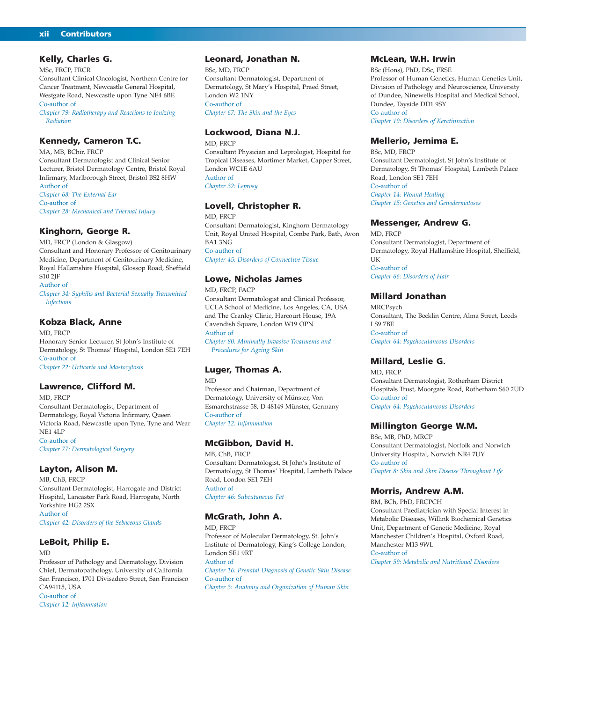#### **Kelly, Charles G.**

MSc, FRCP, FRCR Consultant Clinical Oncologist, Northern Centre for Cancer Treatment, Newcastle General Hospital, Westgate Road, Newcastle upon Tyne NE4 6BE Co-author of

*Chapter 79: Radiotherapy and Reactions to Ionizing Radiation*

# **Kennedy, Cameron T.C.**

MA, MB, BChir, FRCP Consultant Dermatologist and Clinical Senior Lecturer, Bristol Dermatology Centre, Bristol Royal Infirmary, Marlborough Street, Bristol BS2 8HW Author of *Chapter 68: The External Ear* Co-author of *Chapter 28: Mechanical and Thermal Injury*

# **Kinghorn, George R.**

MD, FRCP (London & Glasgow) Consultant and Honorary Professor of Genitourinary Medicine, Department of Genitourinary Medicine, Royal Hallamshire Hospital, Glossop Road, Sheffield S10 2JF

Author of *Chapter 34: Syphilis and Bacterial Sexually Transmitted* 

*Infections*

#### **Kobza Black, Anne**

MD, FRCP Honorary Senior Lecturer, St John's Institute of Dermatology, St Thomas' Hospital, London SE1 7EH Co-author of *Chapter 22: Urticaria and Mastocytosis*

#### **Lawrence, Clifford M.**

MD, FRCP Consultant Dermatologist, Department of Dermatology, Royal Victoria Infirmary, Queen Victoria Road, Newcastle upon Tyne, Tyne and Wear NE1 4LP Co-author of *Chapter 77: Dermatological Surgery*

#### **Layton, Alison M.**

MB, ChB, FRCP Consultant Dermatologist, Harrogate and District Hospital, Lancaster Park Road, Harrogate, North Yorkshire HG2 2SX Author of

*Chapter 42: Disorders of the Sebaceous Glands*

# **LeBoit, Philip E.**

MD

Professor of Pathology and Dermatology, Division Chief, Dermatopathology, University of California San Francisco, 1701 Divisadero Street, San Francisco CA94115, USA Co-author of

*Chapter 12: Inflammation* 

#### **Leonard, Jonathan N.**

BSc, MD, FRCP Consultant Dermatologist, Department of Dermatology, St Mary's Hospital, Praed Street, London W2 1NY Co-author of *Chapter 67: The Skin and the Eyes*

# **Lockwood, Diana N.J.**

MD, FRCP Consultant Physician and Leprologist, Hospital for Tropical Diseases, Mortimer Market, Capper Street, London WC1E 6AU Author of *Chapter 32: Leprosy*

#### **Lovell, Christopher R.**

MD, FRCP Consultant Dermatologist, Kinghorn Dermatology Unit, Royal United Hospital, Combe Park, Bath, Avon BA1 3NG Co-author of *Chapter 45: Disorders of Connective Tissue*

#### **Lowe, Nicholas James**

MD, FRCP, FACP Consultant Dermatologist and Clinical Professor, UCLA School of Medicine, Los Angeles, CA, USA and The Cranley Clinic, Harcourt House, 19A Cavendish Square, London W19 OPN Author of *Chapter 80: Minimally Invasive Treatments and Procedures for Ageing Skin*

#### **Luger, Thomas A.**

MD Professor and Chairman, Department of Dermatology, University of Münster, Von Esmarchstrasse 58, D-48149 Münster, Germany Co-author of *Chapter 12: Inflammation* 

#### **McGibbon, David H.**

MB, ChB, FRCP Consultant Dermatologist, St John's Institute of Dermatology, St Thomas' Hospital, Lambeth Palace Road, London SE1 7EH Author of *Chapter 46: Subcutaneous Fat*

#### **McGrath, John A.**

MD, FRCP Professor of Molecular Dermatology, St. John's Institute of Dermatology, King's College London, London SE1 9RT Author of *Chapter 16: Prenatal Diagnosis of Genetic Skin Disease* Co-author of *Chapter 3: Anatomy and Organization of Human Skin*

# **McLean, W.H. Irwin**

BSc (Hons), PhD, DSc, FRSE Professor of Human Genetics, Human Genetics Unit, Division of Pathology and Neuroscience, University of Dundee, Ninewells Hospital and Medical School, Dundee, Tayside DD1 9SY Co-author of *Chapter 19: Disorders of Keratinization*

#### **Mellerio, Jemima E.**

BSc, MD, FRCP Consultant Dermatologist, St John's Institute of Dermatology, St Thomas' Hospital, Lambeth Palace Road, London SE1 7EH Co-author of *Chapter 14: Wound Healing Chapter 15: Genetics and Genodermatoses*

#### **Messenger, Andrew G.**

MD, FRCP Consultant Dermatologist, Department of Dermatology, Royal Hallamshire Hospital, Sheffield, UK Co-author of *Chapter 66: Disorders of Hair*

#### **Millard Jonathan**

MRCPsych Consultant, The Becklin Centre, Alma Street, Leeds LS9 7BE Co-author of *Chapter 64: Psychocutaneous Disorders*

# **Millard, Leslie G.**

MD, FRCP Consultant Dermatologist, Rotherham District Hospitals Trust, Moorgate Road, Rotherham S60 2UD Co-author of *Chapter 64: Psychocutaneous Disorders*

#### **Millington George W.M.**

BSc, MB, PhD, MRCP Consultant Dermatologist, Norfolk and Norwich University Hospital, Norwich NR4 7UY Co-author of *Chapter 8: Skin and Skin Disease Throughout Life*

#### **Morris, Andrew A.M.**

BM, BCh, PhD, FRCPCH Consultant Paediatrician with Special Interest in Metabolic Diseases, Willink Biochemical Genetics Unit, Department of Genetic Medicine, Royal Manchester Children's Hospital, Oxford Road, Manchester M13 9WL Co-author of *Chapter 59: Metabolic and Nutritional Disorders*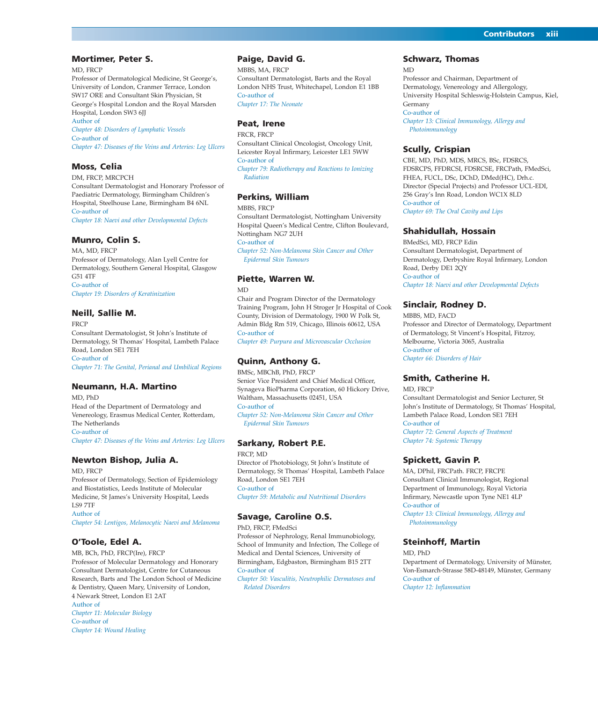#### **Mortimer, Peter S.**

MD, FRCP

Professor of Dermatological Medicine, St George's, University of London, Cranmer Terrace, London SW17 ORE and Consultant Skin Physician, St George's Hospital London and the Royal Marsden Hospital, London SW3 6JJ Author of *Chapter 48: Disorders of Lymphatic Vessels* Co-author of

*Chapter 47: Diseases of the Veins and Arteries: Leg Ulcers*

#### **Moss, Celia**

DM, FRCP, MRCPCH Consultant Dermatologist and Honorary Professor of Paediatric Dermatology, Birmingham Children's Hospital, Steelhouse Lane, Birmingham B4 6NL Co-author of *Chapter 18: Naevi and other Developmental Defects*

#### **Munro, Colin S.**

MA, MD, FRCP Professor of Dermatology, Alan Lyell Centre for Dermatology, Southern General Hospital, Glasgow G51 4TF Co-author of *Chapter 19: Disorders of Keratinization*

#### **Neill, Sallie M.**

**FRCP** Consultant Dermatologist, St John's Institute of Dermatology, St Thomas' Hospital, Lambeth Palace Road, London SE1 7EH Co-author of *Chapter 71: The Genital, Perianal and Umbilical Regions*

#### **Neumann, H.A. Martino**

MD, PhD Head of the Department of Dermatology and Venereology, Erasmus Medical Center, Rotterdam, The Netherlands Co-author of *Chapter 47: Diseases of the Veins and Arteries: Leg Ulcers*

#### **Newton Bishop, Julia A.**

MD, FRCP Professor of Dermatology, Section of Epidemiology and Biostatistics, Leeds Institute of Molecular Medicine, St James's University Hospital, Leeds LS9 7TF Author of *Chapter 54: Lentigos, Melanocytic Naevi and Melanoma*

#### **O'Toole, Edel A.**

MB, BCh, PhD, FRCP(Ire), FRCP Professor of Molecular Dermatology and Honorary Consultant Dermatologist, Centre for Cutaneous Research, Barts and The London School of Medicine & Dentistry, Queen Mary, University of London, 4 Newark Street, London E1 2AT Author of *Chapter 11: Molecular Biology* Co-author of *Chapter 14: Wound Healing*

# **Paige, David G.**

MBBS, MA, FRCP Consultant Dermatologist, Barts and the Royal London NHS Trust, Whitechapel, London E1 1BB Co-author of *Chapter 17: The Neonate*

#### **Peat, Irene**

FRCR, FRCP Consultant Clinical Oncologist, Oncology Unit, Leicester Royal Infirmary, Leicester LE1 5WW Co-author of *Chapter 79: Radiotherapy and Reactions to Ionizing Radiation*

#### **Perkins, William**

MBBS, FRCP

Consultant Dermatologist, Nottingham University Hospital Queen's Medical Centre, Clifton Boulevard, Nottingham NG7 2UH Co-author of

*Chapter 52: Non-Melanoma Skin Cancer and Other Epidermal Skin Tumours*

#### **Piette, Warren W.**

MD

Chair and Program Director of the Dermatology Training Program, John H Stroger Jr Hospital of Cook County, Division of Dermatology, 1900 W Polk St, Admin Bldg Rm 519, Chicago, Illinois 60612, USA Co-author of

*Chapter 49: Purpura and Microvascular Occlusion*

#### **Quinn, Anthony G.**

BMSc, MBChB, PhD, FRCP Senior Vice President and Chief Medical Officer, Synageva BioPharma Corporation, 60 Hickory Drive, Waltham, Massachusetts 02451, USA Co-author of

*Chapter 52: Non-Melanoma Skin Cancer and Other Epidermal Skin Tumours*

#### **Sarkany, Robert P.E.**

FRCP, MD Director of Photobiology, St John's Institute of Dermatology, St Thomas' Hospital, Lambeth Palace Road, London SE1 7EH Co-author of *Chapter 59: Metabolic and Nutritional Disorders*

#### **Savage, Caroline O.S.**

PhD, FRCP, FMedSci Professor of Nephrology, Renal Immunobiology, School of Immunity and Infection, The College of Medical and Dental Sciences, University of Birmingham, Edgbaston, Birmingham B15 2TT Co-author of *Chapter 50: Vasculitis, Neutrophilic Dermatoses and* 

*Related Disorders*

# **Schwarz, Thomas**

MD

Professor and Chairman, Department of Dermatology, Venereology and Allergology, University Hospital Schleswig-Holstein Campus, Kiel, Germany Co-author of

*Chapter 13: Clinical Immunology, Allergy and Photoimmunology*

#### **Scully, Crispian**

CBE, MD, PhD, MDS, MRCS, BSc, FDSRCS, FDSRCPS, FFDRCSI, FDSRCSE, FRCPath, FMedSci, FHEA, FUCL, DSc, DChD, DMed(HC), Drh.c. Director (Special Projects) and Professor UCL-EDI, 256 Gray's Inn Road, London WC1X 8LD Co-author of *Chapter 69: The Oral Cavity and Lips*

#### **Shahidullah, Hossain**

BMedSci, MD, FRCP Edin Consultant Dermatologist, Department of Dermatology, Derbyshire Royal Infirmary, London Road, Derby DE1 2QY Co-author of *Chapter 18: Naevi and other Developmental Defects*

#### **Sinclair, Rodney D.**

MBBS, MD, FACD Professor and Director of Dermatology, Department of Dermatology, St Vincent's Hospital, Fitzroy, Melbourne, Victoria 3065, Australia Co-author of *Chapter 66: Disorders of Hair*

#### **Smith, Catherine H.**

MD, FRCP Consultant Dermatologist and Senior Lecturer, St John's Institute of Dermatology, St Thomas' Hospital, Lambeth Palace Road, London SE1 7EH Co-author of *Chapter 72: General Aspects of Treatment Chapter 74: Systemic Therapy*

#### **Spickett, Gavin P.**

MA, DPhil, FRCPath. FRCP, FRCPE Consultant Clinical Immunologist, Regional Department of Immunology, Royal Victoria Infirmary, Newcastle upon Tyne NE1 4LP Co-author of *Chapter 13: Clinical Immunology, Allergy and Photoimmunology*

#### **Steinhoff, Martin**

MD, PhD Department of Dermatology, University of Münster, Von-Esmarch-Strasse 58D-48149, Münster, Germany Co-author of *Chapter 12: Inflammation*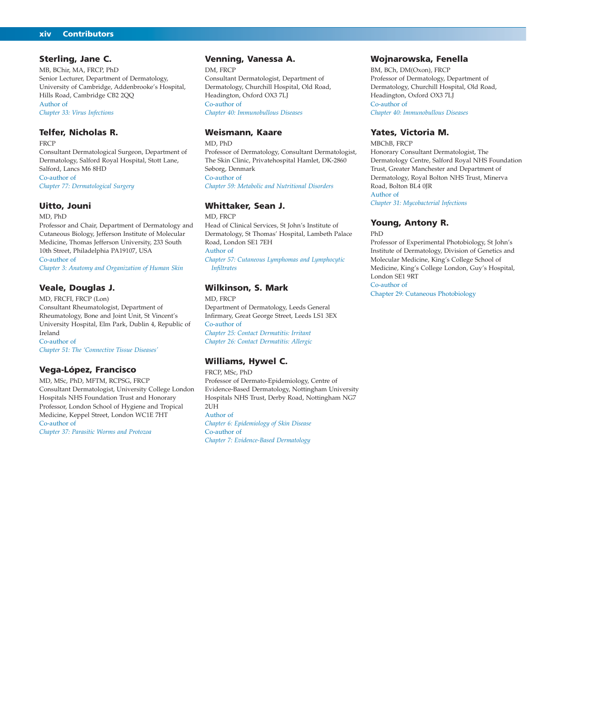#### **Sterling, Jane C.**

MB, BChir, MA, FRCP, PhD Senior Lecturer, Department of Dermatology, University of Cambridge, Addenbrooke's Hospital, Hills Road, Cambridge CB2 2QQ Author of *Chapter 33: Virus Infections*

#### **Telfer, Nicholas R.**

**FRCP** Consultant Dermatological Surgeon, Department of Dermatology, Salford Royal Hospital, Stott Lane, Salford, Lancs M6 8HD Co-author of *Chapter 77: Dermatological Surgery*

#### **Uitto, Jouni**

MD, PhD

Professor and Chair, Department of Dermatology and Cutaneous Biology, Jefferson Institute of Molecular Medicine, Thomas Jefferson University, 233 South 10th Street, Philadelphia PA19107, USA Co-author of *Chapter 3: Anatomy and Organization of Human Skin*

#### **Veale, Douglas J.**

MD, FRCFI, FRCP (Lon) Consultant Rheumatologist, Department of Rheumatology, Bone and Joint Unit, St Vincent's University Hospital, Elm Park, Dublin 4, Republic of Ireland Co-author of

*Chapter 51: The 'Connective Tissue Diseases'*

#### **Vega-López, Francisco**

MD, MSc, PhD, MFTM, RCPSG, FRCP Consultant Dermatologist, University College London Hospitals NHS Foundation Trust and Honorary Professor, London School of Hygiene and Tropical Medicine, Keppel Street, London WC1E 7HT Co-author of

*Chapter 37: Parasitic Worms and Protozoa*

# **Venning, Vanessa A.**

DM, FRCP Consultant Dermatologist, Department of Dermatology, Churchill Hospital, Old Road, Headington, Oxford OX3 7LJ Co-author of *Chapter 40: Immunobullous Diseases*

# **Weismann, Kaare**

MD, PhD Professor of Dermatology, Consultant Dermatologist, The Skin Clinic, Privatehospital Hamlet, DK-2860 Søborg, Denmark Co-author of *Chapter 59: Metabolic and Nutritional Disorders*

#### **Whittaker, Sean J.**

MD, FRCP Head of Clinical Services, St John's Institute of Dermatology, St Thomas' Hospital, Lambeth Palace Road, London SE1 7EH Author of *Chapter 57: Cutaneous Lymphomas and Lymphocytic Infi ltrates*

#### **Wilkinson, S. Mark**

MD, FRCP Department of Dermatology, Leeds General Infirmary, Great George Street, Leeds LS1 3EX Co-author of *Chapter 25: Contact Dermatitis: Irritant Chapter 26: Contact Dermatitis: Allergic*

#### **Williams, Hywel C.**

FRCP, MSc, PhD Professor of Dermato-Epidemiology, Centre of Evidence-Based Dermatology, Nottingham University Hospitals NHS Trust, Derby Road, Nottingham NG7 2UH Author of *Chapter 6: Epidemiology of Skin Disease* Co-author of *Chapter 7: Evidence-Based Dermatology*

#### **Wojnarowska, Fenella**

BM, BCh, DM(Oxon), FRCP Professor of Dermatology, Department of Dermatology, Churchill Hospital, Old Road, Headington, Oxford OX3 7LJ Co-author of *Chapter 40: Immunobullous Diseases*

#### **Yates, Victoria M.**

MBChB, FRCP

Honorary Consultant Dermatologist, The Dermatology Centre, Salford Royal NHS Foundation Trust, Greater Manchester and Department of Dermatology, Royal Bolton NHS Trust, Minerva Road, Bolton BL4 0JR Author of

*Chapter 31: Mycobacterial Infections*

#### **Young, Antony R.**

PhD

Professor of Experimental Photobiology, St John's Institute of Dermatology, Division of Genetics and Molecular Medicine, King's College School of Medicine, King's College London, Guy's Hospital, London SE1 9RT Co-author of

Chapter 29: Cutaneous Photobiology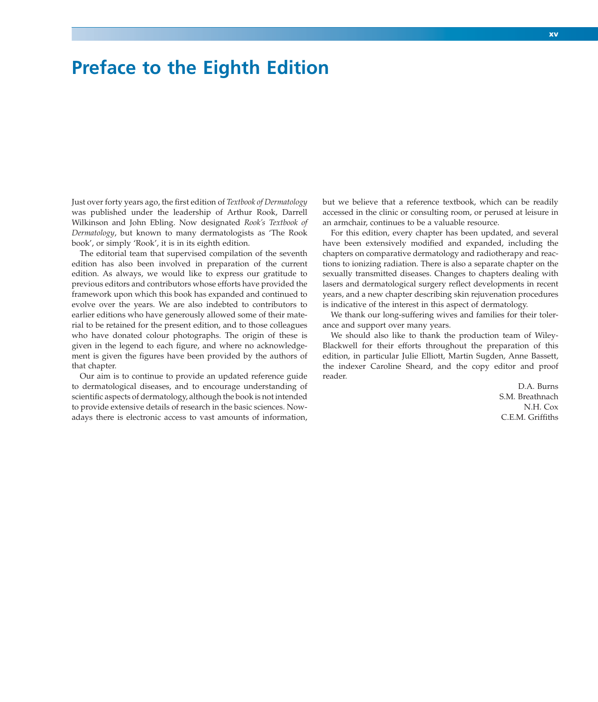# **Preface to the Eighth Edition**

Just over forty years ago, the first edition of *Textbook of Dermatology* was published under the leadership of Arthur Rook, Darrell Wilkinson and John Ebling. Now designated *Rook's Textbook of Dermatology*, but known to many dermatologists as 'The Rook book', or simply 'Rook', it is in its eighth edition.

The editorial team that supervised compilation of the seventh edition has also been involved in preparation of the current edition. As always, we would like to express our gratitude to previous editors and contributors whose efforts have provided the framework upon which this book has expanded and continued to evolve over the years. We are also indebted to contributors to earlier editions who have generously allowed some of their material to be retained for the present edition, and to those colleagues who have donated colour photographs. The origin of these is given in the legend to each figure, and where no acknowledgement is given the figures have been provided by the authors of that chapter.

Our aim is to continue to provide an updated reference guide to dermatological diseases, and to encourage understanding of scientific aspects of dermatology, although the book is not intended to provide extensive details of research in the basic sciences. Nowadays there is electronic access to vast amounts of information, but we believe that a reference textbook, which can be readily accessed in the clinic or consulting room, or perused at leisure in an armchair, continues to be a valuable resource.

For this edition, every chapter has been updated, and several have been extensively modified and expanded, including the chapters on comparative dermatology and radiotherapy and reactions to ionizing radiation. There is also a separate chapter on the sexually transmitted diseases. Changes to chapters dealing with lasers and dermatological surgery reflect developments in recent years, and a new chapter describing skin rejuvenation procedures is indicative of the interest in this aspect of dermatology.

We thank our long-suffering wives and families for their tolerance and support over many years.

We should also like to thank the production team of Wiley-Blackwell for their efforts throughout the preparation of this edition, in particular Julie Elliott, Martin Sugden, Anne Bassett, the indexer Caroline Sheard, and the copy editor and proof reader.

 D.A. Burns S.M. Breathnach N.H. Cox C.E.M. Griffiths